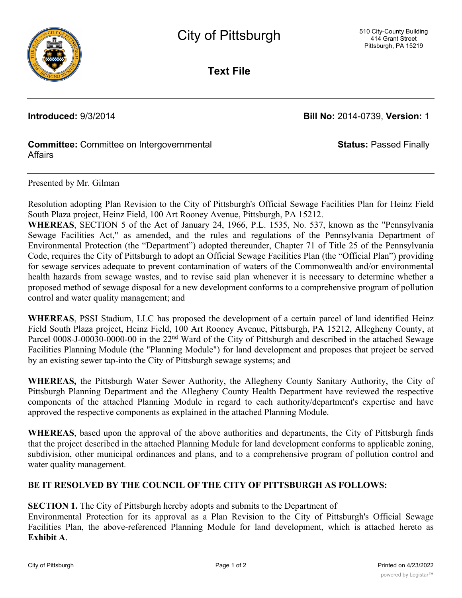

**Text File**

**Introduced:** 9/3/2014 **Bill No:** 2014-0739, **Version:** 1

**Status:** Passed Finally

## **Committee:** Committee on Intergovernmental **Affairs**

Presented by Mr. Gilman

Resolution adopting Plan Revision to the City of Pittsburgh's Official Sewage Facilities Plan for Heinz Field South Plaza project, Heinz Field, 100 Art Rooney Avenue, Pittsburgh, PA 15212.

**WHEREAS**, SECTION 5 of the Act of January 24, 1966, P.L. 1535, No. 537, known as the "Pennsylvania Sewage Facilities Act," as amended, and the rules and regulations of the Pennsylvania Department of Environmental Protection (the "Department") adopted thereunder, Chapter 71 of Title 25 of the Pennsylvania Code, requires the City of Pittsburgh to adopt an Official Sewage Facilities Plan (the "Official Plan") providing for sewage services adequate to prevent contamination of waters of the Commonwealth and/or environmental health hazards from sewage wastes, and to revise said plan whenever it is necessary to determine whether a proposed method of sewage disposal for a new development conforms to a comprehensive program of pollution control and water quality management; and

**WHEREAS**, PSSI Stadium, LLC has proposed the development of a certain parcel of land identified Heinz Field South Plaza project, Heinz Field, 100 Art Rooney Avenue, Pittsburgh, PA 15212, Allegheny County, at Parcel 0008-J-00030-0000-00 in the  $22<sup>nd</sup>$  Ward of the City of Pittsburgh and described in the attached Sewage Facilities Planning Module (the "Planning Module") for land development and proposes that project be served by an existing sewer tap-into the City of Pittsburgh sewage systems; and

**WHEREAS,** the Pittsburgh Water Sewer Authority, the Allegheny County Sanitary Authority, the City of Pittsburgh Planning Department and the Allegheny County Health Department have reviewed the respective components of the attached Planning Module in regard to each authority/department's expertise and have approved the respective components as explained in the attached Planning Module.

**WHEREAS**, based upon the approval of the above authorities and departments, the City of Pittsburgh finds that the project described in the attached Planning Module for land development conforms to applicable zoning, subdivision, other municipal ordinances and plans, and to a comprehensive program of pollution control and water quality management.

## **BE IT RESOLVED BY THE COUNCIL OF THE CITY OF PITTSBURGH AS FOLLOWS:**

**SECTION 1.** The City of Pittsburgh hereby adopts and submits to the Department of

Environmental Protection for its approval as a Plan Revision to the City of Pittsburgh's Official Sewage Facilities Plan, the above-referenced Planning Module for land development, which is attached hereto as **Exhibit A**.